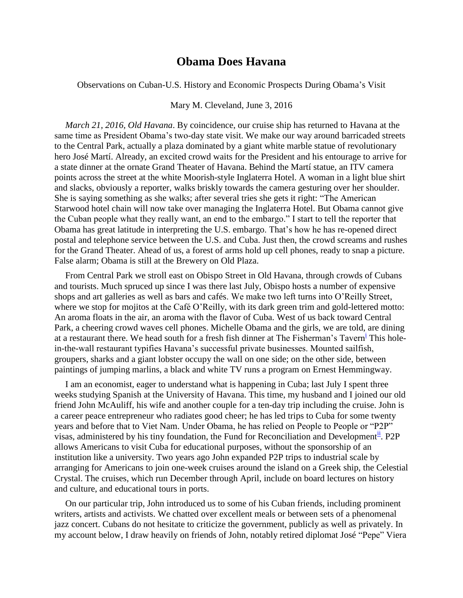## **Obama Does Havana**

Observations on Cuban-U.S. History and Economic Prospects During Obama's Visit

Mary M. Cleveland, June 3, 2016

*March 21, 2016, Old Havana*. By coincidence, our cruise ship has returned to Havana at the same time as President Obama's two-day state visit. We make our way around barricaded streets to the Central Park, actually a plaza dominated by a giant white marble statue of revolutionary hero José Martí. Already, an excited crowd waits for the President and his entourage to arrive for a state dinner at the ornate Grand Theater of Havana. Behind the Martí statue, an ITV camera points across the street at the white Moorish-style Inglaterra Hotel. A woman in a light blue shirt and slacks, obviously a reporter, walks briskly towards the camera gesturing over her shoulder. She is saying something as she walks; after several tries she gets it right: "The American Starwood hotel chain will now take over managing the Inglaterra Hotel. But Obama cannot give the Cuban people what they really want, an end to the embargo." I start to tell the reporter that Obama has great latitude in interpreting the U.S. embargo. That's how he has re-opened direct postal and telephone service between the U.S. and Cuba. Just then, the crowd screams and rushes for the Grand Theater. Ahead of us, a forest of arms hold up cell phones, ready to snap a picture. False alarm; Obama is still at the Brewery on Old Plaza.

From Central Park we stroll east on Obispo Street in Old Havana, through crowds of Cubans and tourists. Much spruced up since I was there last July, Obispo hosts a number of expensive shops and art galleries as well as bars and cafés. We make two left turns into O'Reilly Street, where we stop for mojitos at the Café O'Reilly, with its dark green trim and gold-lettered motto: An aroma floats in the air, an aroma with the flavor of Cuba. West of us back toward Central Park, a cheering crowd waves cell phones. Michelle Obama and the girls, we are told, are dining at a restaurant there. We head south for a fresh fish dinner at The Fisherman's Tavern<sup>i</sup> This holein-the-wall restaurant typifies Havana's successful private businesses. Mounted sailfish, groupers, sharks and a giant lobster occupy the wall on one side; on the other side, between paintings of jumping marlins, a black and white TV runs a program on Ernest Hemmingway.

I am an economist, eager to understand what is happening in Cuba; last July I spent three weeks studying Spanish at the University of Havana. This time, my husband and I joined our old friend John McAuliff, his wife and another couple for a ten-day trip including the cruise. John is a career peace entrepreneur who radiates good cheer; he has led trips to Cuba for some twenty years and before that to Viet Nam. Under Obama, he has relied on People to People or "P2P" visas, administered by his tiny foundation, the Fund for Reconciliation and Development<sup>ii</sup>. P2P allows Americans to visit Cuba for educational purposes, without the sponsorship of an institution like a university. Two years ago John expanded P2P trips to industrial scale by arranging for Americans to join one-week cruises around the island on a Greek ship, the Celestial Crystal. The cruises, which run December through April, include on board lectures on history and culture, and educational tours in ports.

On our particular trip, John introduced us to some of his Cuban friends, including prominent writers, artists and activists. We chatted over excellent meals or between sets of a phenomenal jazz concert. Cubans do not hesitate to criticize the government, publicly as well as privately. In my account below, I draw heavily on friends of John, notably retired diplomat José "Pepe" Viera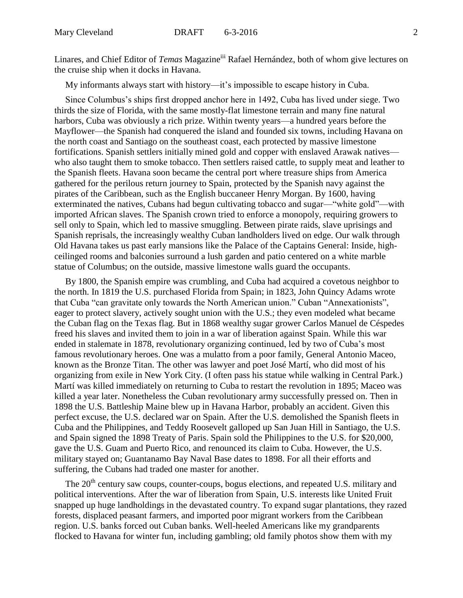Linares, and Chief Editor of *Temas* Magazine<sup>iii</sup> Rafael Hernández, both of whom give lectures on the cruise ship when it docks in Havana.

My informants always start with history—it's impossible to escape history in Cuba.

Since Columbus's ships first dropped anchor here in 1492, Cuba has lived under siege. Two thirds the size of Florida, with the same mostly-flat limestone terrain and many fine natural harbors, Cuba was obviously a rich prize. Within twenty years—a hundred years before the Mayflower—the Spanish had conquered the island and founded six towns, including Havana on the north coast and Santiago on the southeast coast, each protected by massive limestone fortifications. Spanish settlers initially mined gold and copper with enslaved Arawak natives who also taught them to smoke tobacco. Then settlers raised cattle, to supply meat and leather to the Spanish fleets. Havana soon became the central port where treasure ships from America gathered for the perilous return journey to Spain, protected by the Spanish navy against the pirates of the Caribbean, such as the English buccaneer Henry Morgan. By 1600, having exterminated the natives, Cubans had begun cultivating tobacco and sugar—"white gold"—with imported African slaves. The Spanish crown tried to enforce a monopoly, requiring growers to sell only to Spain, which led to massive smuggling. Between pirate raids, slave uprisings and Spanish reprisals, the increasingly wealthy Cuban landholders lived on edge. Our walk through Old Havana takes us past early mansions like the Palace of the Captains General: Inside, highceilinged rooms and balconies surround a lush garden and patio centered on a white marble statue of Columbus; on the outside, massive limestone walls guard the occupants.

By 1800, the Spanish empire was crumbling, and Cuba had acquired a covetous neighbor to the north. In 1819 the U.S. purchased Florida from Spain; in 1823, John Quincy Adams wrote that Cuba "can gravitate only towards the North American union." Cuban "Annexationists", eager to protect slavery, actively sought union with the U.S.; they even modeled what became the Cuban flag on the Texas flag. But in 1868 wealthy sugar grower Carlos Manuel de Céspedes freed his slaves and invited them to join in a war of liberation against Spain. While this war ended in stalemate in 1878, revolutionary organizing continued, led by two of Cuba's most famous revolutionary heroes. One was a mulatto from a poor family, General Antonio Maceo, known as the Bronze Titan. The other was lawyer and poet José Martí, who did most of his organizing from exile in New York City. (I often pass his statue while walking in Central Park.) Martí was killed immediately on returning to Cuba to restart the revolution in 1895; Maceo was killed a year later. Nonetheless the Cuban revolutionary army successfully pressed on. Then in 1898 the U.S. Battleship Maine blew up in Havana Harbor, probably an accident. Given this perfect excuse, the U.S. declared war on Spain. After the U.S. demolished the Spanish fleets in Cuba and the Philippines, and Teddy Roosevelt galloped up San Juan Hill in Santiago, the U.S. and Spain signed the 1898 Treaty of Paris. Spain sold the Philippines to the U.S. for \$20,000, gave the U.S. Guam and Puerto Rico, and renounced its claim to Cuba. However, the U.S. military stayed on; Guantanamo Bay Naval Base dates to 1898. For all their efforts and suffering, the Cubans had traded one master for another.

The 20<sup>th</sup> century saw coups, counter-coups, bogus elections, and repeated U.S. military and political interventions. After the war of liberation from Spain, U.S. interests like United Fruit snapped up huge landholdings in the devastated country. To expand sugar plantations, they razed forests, displaced peasant farmers, and imported poor migrant workers from the Caribbean region. U.S. banks forced out Cuban banks. Well-heeled Americans like my grandparents flocked to Havana for winter fun, including gambling; old family photos show them with my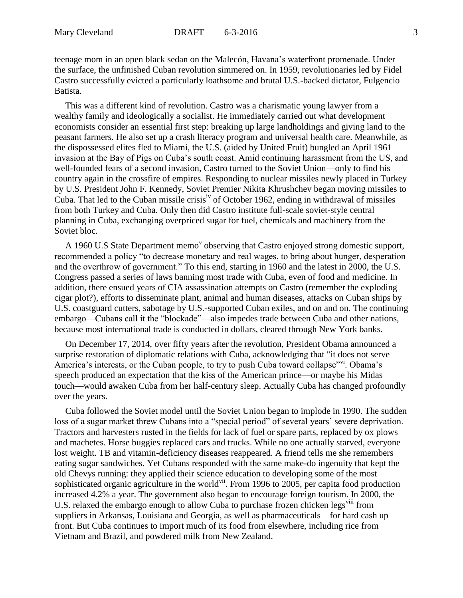teenage mom in an open black sedan on the Malecón, Havana's waterfront promenade. Under the surface, the unfinished Cuban revolution simmered on. In 1959, revolutionaries led by Fidel Castro successfully evicted a particularly loathsome and brutal U.S.-backed dictator, Fulgencio Batista.

This was a different kind of revolution. Castro was a charismatic young lawyer from a wealthy family and ideologically a socialist. He immediately carried out what development economists consider an essential first step: breaking up large landholdings and giving land to the peasant farmers. He also set up a crash literacy program and universal health care. Meanwhile, as the dispossessed elites fled to Miami, the U.S. (aided by United Fruit) bungled an April 1961 invasion at the Bay of Pigs on Cuba's south coast. Amid continuing harassment from the US, and well-founded fears of a second invasion, Castro turned to the Soviet Union—only to find his country again in the crossfire of empires. Responding to nuclear missiles newly placed in Turkey by U.S. President John F. Kennedy, Soviet Premier Nikita Khrushchev began moving missiles to Cuba. That led to the Cuban missile crisis<sup>iv</sup> of October 1962, ending in withdrawal of missiles from both Turkey and Cuba. Only then did Castro institute full-scale soviet-style central planning in Cuba, exchanging overpriced sugar for fuel, chemicals and machinery from the Soviet bloc.

A 1960 U.S State Department memo<sup>v</sup> observing that Castro enjoyed strong domestic support, recommended a policy "to decrease monetary and real wages, to bring about hunger, desperation and the overthrow of government." To this end, starting in 1960 and the latest in 2000, the U.S. Congress passed a series of laws banning most trade with Cuba, even of food and medicine. In addition, there ensued years of CIA assassination attempts on Castro (remember the exploding cigar plot?), efforts to disseminate plant, animal and human diseases, attacks on Cuban ships by U.S. coastguard cutters, sabotage by U.S.-supported Cuban exiles, and on and on. The continuing embargo—Cubans call it the "blockade"—also impedes trade between Cuba and other nations, because most international trade is conducted in dollars, cleared through New York banks.

On December 17, 2014, over fifty years after the revolution, President Obama announced a surprise restoration of diplomatic relations with Cuba, acknowledging that "it does not serve America's interests, or the Cuban people, to try to push Cuba toward collapse"vi. Obama's speech produced an expectation that the kiss of the American prince—or maybe his Midas touch—would awaken Cuba from her half-century sleep. Actually Cuba has changed profoundly over the years.

Cuba followed the Soviet model until the Soviet Union began to implode in 1990. The sudden loss of a sugar market threw Cubans into a "special period" of several years' severe deprivation. Tractors and harvesters rusted in the fields for lack of fuel or spare parts, replaced by ox plows and machetes. Horse buggies replaced cars and trucks. While no one actually starved, everyone lost weight. TB and vitamin-deficiency diseases reappeared. A friend tells me she remembers eating sugar sandwiches. Yet Cubans responded with the same make-do ingenuity that kept the old Chevys running: they applied their science education to developing some of the most sophisticated organic agriculture in the world<sup>vii</sup>. From 1996 to 2005, per capita food production increased 4.2% a year. The government also began to encourage foreign tourism. In 2000, the U.S. relaxed the embargo enough to allow Cuba to purchase frozen chicken legs<sup>viii</sup> from suppliers in Arkansas, Louisiana and Georgia, as well as pharmaceuticals—for hard cash up front. But Cuba continues to import much of its food from elsewhere, including rice from Vietnam and Brazil, and powdered milk from New Zealand.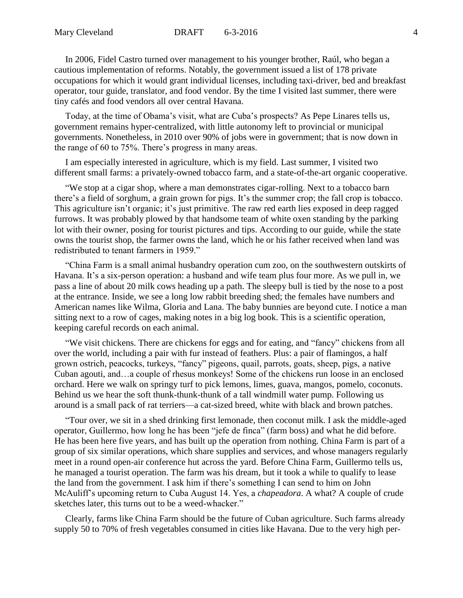In 2006, Fidel Castro turned over management to his younger brother, Raúl, who began a cautious implementation of reforms. Notably, the government issued a list of 178 private occupations for which it would grant individual licenses, including taxi-driver, bed and breakfast operator, tour guide, translator, and food vendor. By the time I visited last summer, there were tiny cafés and food vendors all over central Havana.

Today, at the time of Obama's visit, what are Cuba's prospects? As Pepe Linares tells us, government remains hyper-centralized, with little autonomy left to provincial or municipal governments. Nonetheless, in 2010 over 90% of jobs were in government; that is now down in the range of 60 to 75%. There's progress in many areas.

I am especially interested in agriculture, which is my field. Last summer, I visited two different small farms: a privately-owned tobacco farm, and a state-of-the-art organic cooperative.

"We stop at a cigar shop, where a man demonstrates cigar-rolling. Next to a tobacco barn there's a field of sorghum, a grain grown for pigs. It's the summer crop; the fall crop is tobacco. This agriculture isn't organic; it's just primitive. The raw red earth lies exposed in deep ragged furrows. It was probably plowed by that handsome team of white oxen standing by the parking lot with their owner, posing for tourist pictures and tips. According to our guide, while the state owns the tourist shop, the farmer owns the land, which he or his father received when land was redistributed to tenant farmers in 1959."

"China Farm is a small animal husbandry operation cum zoo, on the southwestern outskirts of Havana. It's a six-person operation: a husband and wife team plus four more. As we pull in, we pass a line of about 20 milk cows heading up a path. The sleepy bull is tied by the nose to a post at the entrance. Inside, we see a long low rabbit breeding shed; the females have numbers and American names like Wilma, Gloria and Lana. The baby bunnies are beyond cute. I notice a man sitting next to a row of cages, making notes in a big log book. This is a scientific operation, keeping careful records on each animal.

"We visit chickens. There are chickens for eggs and for eating, and "fancy" chickens from all over the world, including a pair with fur instead of feathers. Plus: a pair of flamingos, a half grown ostrich, peacocks, turkeys, "fancy" pigeons, quail, parrots, goats, sheep, pigs, a native Cuban agouti, and…a couple of rhesus monkeys! Some of the chickens run loose in an enclosed orchard. Here we walk on springy turf to pick lemons, limes, guava, mangos, pomelo, coconuts. Behind us we hear the soft thunk-thunk-thunk of a tall windmill water pump. Following us around is a small pack of rat terriers—a cat-sized breed, white with black and brown patches.

"Tour over, we sit in a shed drinking first lemonade, then coconut milk. I ask the middle-aged operator, Guillermo, how long he has been "jefe de finca" (farm boss) and what he did before. He has been here five years, and has built up the operation from nothing. China Farm is part of a group of six similar operations, which share supplies and services, and whose managers regularly meet in a round open-air conference hut across the yard. Before China Farm, Guillermo tells us, he managed a tourist operation. The farm was his dream, but it took a while to qualify to lease the land from the government. I ask him if there's something I can send to him on John McAuliff's upcoming return to Cuba August 14. Yes, a *chapeadora*. A what? A couple of crude sketches later, this turns out to be a weed-whacker."

Clearly, farms like China Farm should be the future of Cuban agriculture. Such farms already supply 50 to 70% of fresh vegetables consumed in cities like Havana. Due to the very high per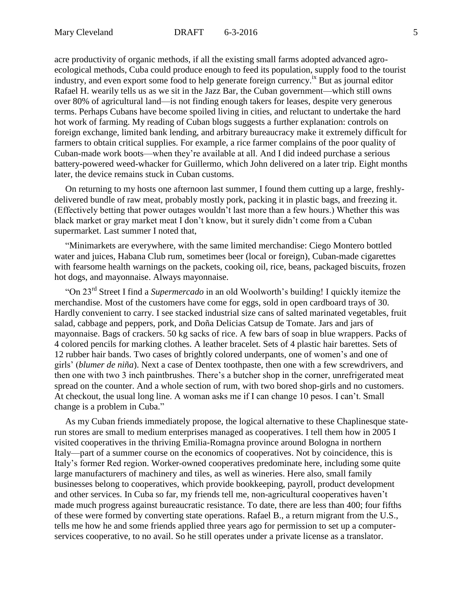acre productivity of organic methods, if all the existing small farms adopted advanced agroecological methods, Cuba could produce enough to feed its population, supply food to the tourist industry, and even export some food to help generate foreign currency.<sup>ix</sup> But as journal editor Rafael H. wearily tells us as we sit in the Jazz Bar, the Cuban government—which still owns over 80% of agricultural land—is not finding enough takers for leases, despite very generous terms. Perhaps Cubans have become spoiled living in cities, and reluctant to undertake the hard hot work of farming. My reading of Cuban blogs suggests a further explanation: controls on foreign exchange, limited bank lending, and arbitrary bureaucracy make it extremely difficult for farmers to obtain critical supplies. For example, a rice farmer complains of the poor quality of Cuban-made work boots—when they're available at all. And I did indeed purchase a serious battery-powered weed-whacker for Guillermo, which John delivered on a later trip. Eight months later, the device remains stuck in Cuban customs.

On returning to my hosts one afternoon last summer, I found them cutting up a large, freshlydelivered bundle of raw meat, probably mostly pork, packing it in plastic bags, and freezing it. (Effectively betting that power outages wouldn't last more than a few hours.) Whether this was black market or gray market meat I don't know, but it surely didn't come from a Cuban supermarket. Last summer I noted that,

"Minimarkets are everywhere, with the same limited merchandise: Ciego Montero bottled water and juices, Habana Club rum, sometimes beer (local or foreign), Cuban-made cigarettes with fearsome health warnings on the packets, cooking oil, rice, beans, packaged biscuits, frozen hot dogs, and mayonnaise. Always mayonnaise.

"On 23rd Street I find a *Supermercado* in an old Woolworth's building! I quickly itemize the merchandise. Most of the customers have come for eggs, sold in open cardboard trays of 30. Hardly convenient to carry. I see stacked industrial size cans of salted marinated vegetables, fruit salad, cabbage and peppers, pork, and Doña Delicias Catsup de Tomate. Jars and jars of mayonnaise. Bags of crackers. 50 kg sacks of rice. A few bars of soap in blue wrappers. Packs of 4 colored pencils for marking clothes. A leather bracelet. Sets of 4 plastic hair barettes. Sets of 12 rubber hair bands. Two cases of brightly colored underpants, one of women's and one of girls' (*blumer de niña*). Next a case of Dentex toothpaste, then one with a few screwdrivers, and then one with two 3 inch paintbrushes. There's a butcher shop in the corner, unrefrigerated meat spread on the counter. And a whole section of rum, with two bored shop-girls and no customers. At checkout, the usual long line. A woman asks me if I can change 10 pesos. I can't. Small change is a problem in Cuba."

As my Cuban friends immediately propose, the logical alternative to these Chaplinesque staterun stores are small to medium enterprises managed as cooperatives. I tell them how in 2005 I visited cooperatives in the thriving Emilia-Romagna province around Bologna in northern Italy—part of a summer course on the economics of cooperatives. Not by coincidence, this is Italy's former Red region. Worker-owned cooperatives predominate here, including some quite large manufacturers of machinery and tiles, as well as wineries. Here also, small family businesses belong to cooperatives, which provide bookkeeping, payroll, product development and other services. In Cuba so far, my friends tell me, non-agricultural cooperatives haven't made much progress against bureaucratic resistance. To date, there are less than 400; four fifths of these were formed by converting state operations. Rafael B., a return migrant from the U.S., tells me how he and some friends applied three years ago for permission to set up a computerservices cooperative, to no avail. So he still operates under a private license as a translator.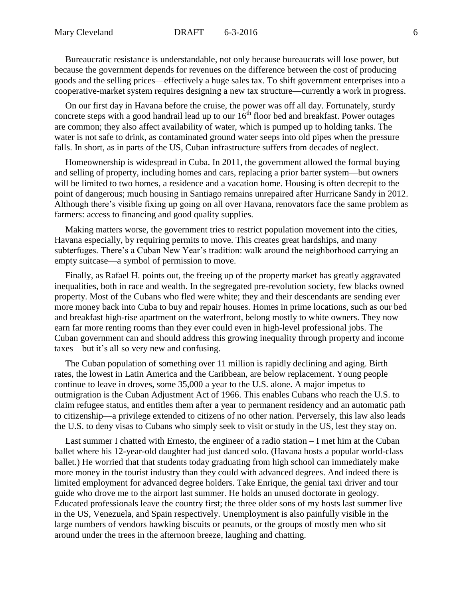Bureaucratic resistance is understandable, not only because bureaucrats will lose power, but because the government depends for revenues on the difference between the cost of producing goods and the selling prices—effectively a huge sales tax. To shift government enterprises into a cooperative-market system requires designing a new tax structure—currently a work in progress.

On our first day in Havana before the cruise, the power was off all day. Fortunately, sturdy concrete steps with a good handrail lead up to our  $16<sup>th</sup>$  floor bed and breakfast. Power outages are common; they also affect availability of water, which is pumped up to holding tanks. The water is not safe to drink, as contaminated ground water seeps into old pipes when the pressure falls. In short, as in parts of the US, Cuban infrastructure suffers from decades of neglect.

Homeownership is widespread in Cuba. In 2011, the government allowed the formal buying and selling of property, including homes and cars, replacing a prior barter system—but owners will be limited to two homes, a residence and a vacation home. Housing is often decrepit to the point of dangerous; much housing in Santiago remains unrepaired after Hurricane Sandy in 2012. Although there's visible fixing up going on all over Havana, renovators face the same problem as farmers: access to financing and good quality supplies.

Making matters worse, the government tries to restrict population movement into the cities, Havana especially, by requiring permits to move. This creates great hardships, and many subterfuges. There's a Cuban New Year's tradition: walk around the neighborhood carrying an empty suitcase—a symbol of permission to move.

Finally, as Rafael H. points out, the freeing up of the property market has greatly aggravated inequalities, both in race and wealth. In the segregated pre-revolution society, few blacks owned property. Most of the Cubans who fled were white; they and their descendants are sending ever more money back into Cuba to buy and repair houses. Homes in prime locations, such as our bed and breakfast high-rise apartment on the waterfront, belong mostly to white owners. They now earn far more renting rooms than they ever could even in high-level professional jobs. The Cuban government can and should address this growing inequality through property and income taxes—but it's all so very new and confusing.

The Cuban population of something over 11 million is rapidly declining and aging. Birth rates, the lowest in Latin America and the Caribbean, are below replacement. Young people continue to leave in droves, some 35,000 a year to the U.S. alone. A major impetus to outmigration is the Cuban Adjustment Act of 1966. This enables Cubans who reach the U.S. to claim refugee status, and entitles them after a year to permanent residency and an automatic path to citizenship—a privilege extended to citizens of no other nation. Perversely, this law also leads the U.S. to deny visas to Cubans who simply seek to visit or study in the US, lest they stay on.

Last summer I chatted with Ernesto, the engineer of a radio station – I met him at the Cuban ballet where his 12-year-old daughter had just danced solo. (Havana hosts a popular world-class ballet.) He worried that that students today graduating from high school can immediately make more money in the tourist industry than they could with advanced degrees. And indeed there is limited employment for advanced degree holders. Take Enrique, the genial taxi driver and tour guide who drove me to the airport last summer. He holds an unused doctorate in geology. Educated professionals leave the country first; the three older sons of my hosts last summer live in the US, Venezuela, and Spain respectively. Unemployment is also painfully visible in the large numbers of vendors hawking biscuits or peanuts, or the groups of mostly men who sit around under the trees in the afternoon breeze, laughing and chatting.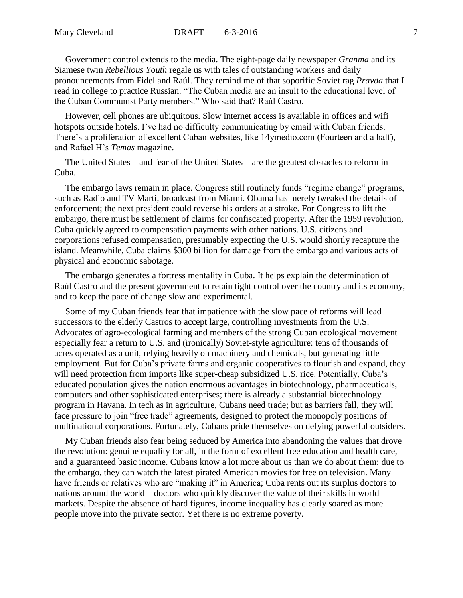Government control extends to the media. The eight-page daily newspaper *Granma* and its Siamese twin *Rebellious Youth* regale us with tales of outstanding workers and daily pronouncements from Fidel and Raúl. They remind me of that soporific Soviet rag *Pravda* that I read in college to practice Russian. "The Cuban media are an insult to the educational level of the Cuban Communist Party members." Who said that? Raúl Castro.

However, cell phones are ubiquitous. Slow internet access is available in offices and wifi hotspots outside hotels. I've had no difficulty communicating by email with Cuban friends. There's a proliferation of excellent Cuban websites, like 14ymedio.com (Fourteen and a half), and Rafael H's *Temas* magazine.

The United States—and fear of the United States—are the greatest obstacles to reform in Cuba.

The embargo laws remain in place. Congress still routinely funds "regime change" programs, such as Radio and TV Martí, broadcast from Miami. Obama has merely tweaked the details of enforcement; the next president could reverse his orders at a stroke. For Congress to lift the embargo, there must be settlement of claims for confiscated property. After the 1959 revolution, Cuba quickly agreed to compensation payments with other nations. U.S. citizens and corporations refused compensation, presumably expecting the U.S. would shortly recapture the island. Meanwhile, Cuba claims \$300 billion for damage from the embargo and various acts of physical and economic sabotage.

The embargo generates a fortress mentality in Cuba. It helps explain the determination of Raúl Castro and the present government to retain tight control over the country and its economy, and to keep the pace of change slow and experimental.

Some of my Cuban friends fear that impatience with the slow pace of reforms will lead successors to the elderly Castros to accept large, controlling investments from the U.S. Advocates of agro-ecological farming and members of the strong Cuban ecological movement especially fear a return to U.S. and (ironically) Soviet-style agriculture: tens of thousands of acres operated as a unit, relying heavily on machinery and chemicals, but generating little employment. But for Cuba's private farms and organic cooperatives to flourish and expand, they will need protection from imports like super-cheap subsidized U.S. rice. Potentially, Cuba's educated population gives the nation enormous advantages in biotechnology, pharmaceuticals, computers and other sophisticated enterprises; there is already a substantial biotechnology program in Havana. In tech as in agriculture, Cubans need trade; but as barriers fall, they will face pressure to join "free trade" agreements, designed to protect the monopoly positions of multinational corporations. Fortunately, Cubans pride themselves on defying powerful outsiders.

My Cuban friends also fear being seduced by America into abandoning the values that drove the revolution: genuine equality for all, in the form of excellent free education and health care, and a guaranteed basic income. Cubans know a lot more about us than we do about them: due to the embargo, they can watch the latest pirated American movies for free on television. Many have friends or relatives who are "making it" in America; Cuba rents out its surplus doctors to nations around the world—doctors who quickly discover the value of their skills in world markets. Despite the absence of hard figures, income inequality has clearly soared as more people move into the private sector. Yet there is no extreme poverty.